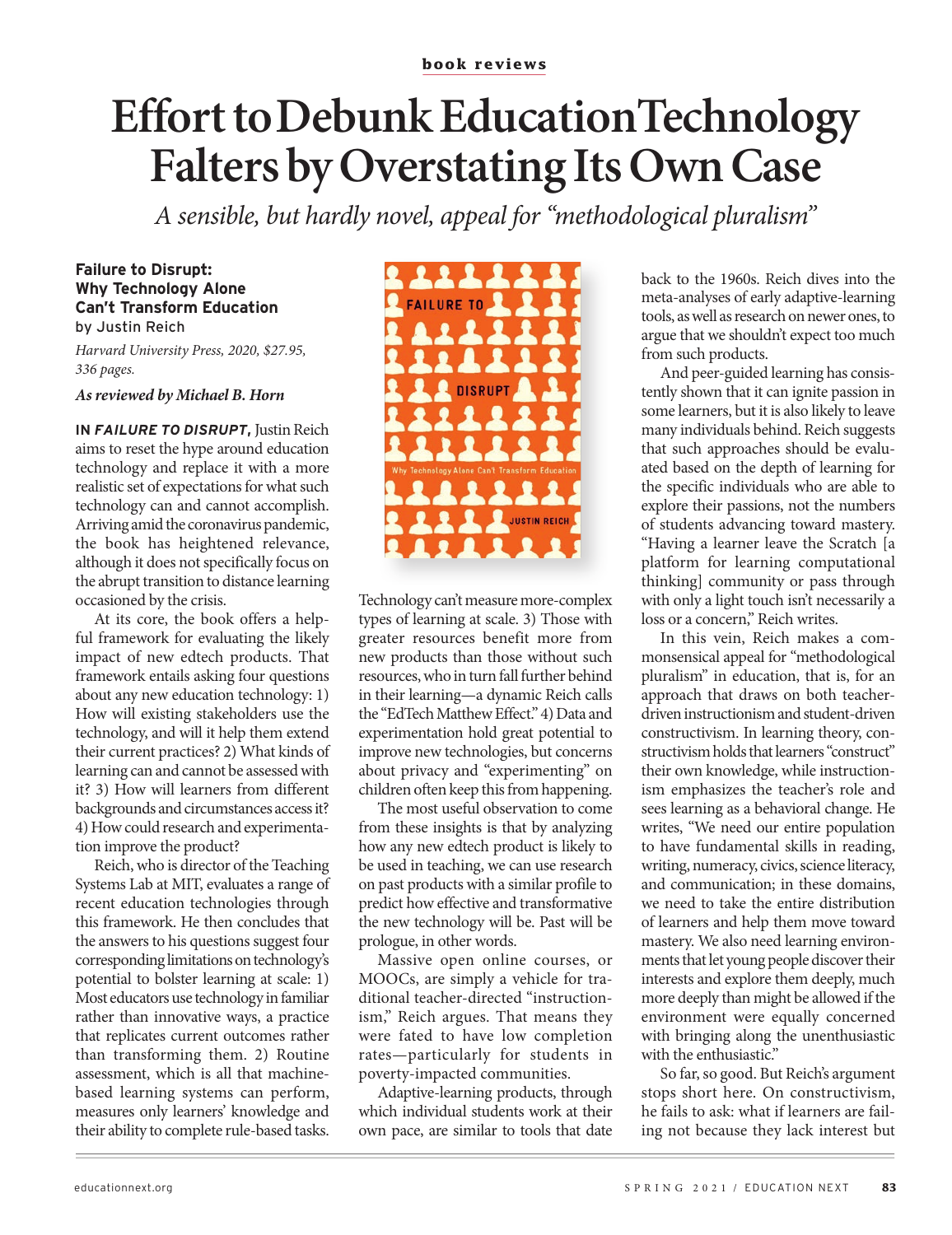# **Effort to Debunk Education Technology Falters by Overstating Its Own Case**

A sensible, but hardly novel, appeal for "methodological pluralism"

#### **Failure to Disrupt: Why Technology Alone Can't Transform Education** by Justin Reich

Harvard University Press, 2020, \$27.95, 336 pages.

#### As reviewed by Michael B. Horn

IN FAILURE TO DISRUPT, Justin Reich aims to reset the hype around education technology and replace it with a more realistic set of expectations for what such technology can and cannot accomplish. Arriving amid the coronavirus pandemic, the book has heightened relevance, although it does not specifically focus on the abrupt transition to distance learning occasioned by the crisis.

At its core, the book offers a helpful framework for evaluating the likely impact of new edtech products. That framework entails asking four questions about any new education technology: 1) How will existing stakeholders use the technology, and will it help them extend their current practices? 2) What kinds of learning can and cannot be assessed with it? 3) How will learners from different backgrounds and circumstances access it? 4) How could research and experimentation improve the product?

Reich, who is director of the Teaching Systems Lab at MIT, evaluates a range of recent education technologies through this framework. He then concludes that the answers to his questions suggest four corresponding limitations on technology's potential to bolster learning at scale: 1) Most educators use technology in familiar rather than innovative ways, a practice that replicates current outcomes rather than transforming them. 2) Routine assessment, which is all that machinebased learning systems can perform, measures only learners' knowledge and their ability to complete rule-based tasks.



Technology can't measure more-complex types of learning at scale. 3) Those with greater resources benefit more from new products than those without such resources, who in turn fall further behind in their learning—a dynamic Reich calls the "EdTech Matthew Effect." 4) Data and experimentation hold great potential to improve new technologies, but concerns about privacy and "experimenting" on children often keep this from happening.

The most useful observation to come from these insights is that by analyzing how any new edtech product is likely to be used in teaching, we can use research on past products with a similar profile to predict how effective and transformative the new technology will be. Past will be prologue, in other words.

Massive open online courses, or MOOCs, are simply a vehicle for traditional teacher-directed "instructionism," Reich argues. That means they were fated to have low completion rates-particularly for students in poverty-impacted communities.

Adaptive-learning products, through which individual students work at their own pace, are similar to tools that date

back to the 1960s. Reich dives into the meta-analyses of early adaptive-learning tools, as well as research on newer ones, to argue that we shouldn't expect too much from such products.

And peer-guided learning has consistently shown that it can ignite passion in some learners, but it is also likely to leave many individuals behind. Reich suggests that such approaches should be evaluated based on the depth of learning for the specific individuals who are able to explore their passions, not the numbers of students advancing toward mastery. "Having a learner leave the Scratch [a platform for learning computational thinking] community or pass through with only a light touch isn't necessarily a loss or a concern," Reich writes.

In this vein, Reich makes a commonsensical appeal for "methodological pluralism" in education, that is, for an approach that draws on both teacherdriven instructionism and student-driven constructivism. In learning theory, constructivism holds that learners "construct" their own knowledge, while instructionism emphasizes the teacher's role and sees learning as a behavioral change. He writes, "We need our entire population to have fundamental skills in reading, writing, numeracy, civics, science literacy, and communication; in these domains, we need to take the entire distribution of learners and help them move toward mastery. We also need learning environments that let young people discover their interests and explore them deeply, much more deeply than might be allowed if the environment were equally concerned with bringing along the unenthusiastic with the enthusiastic."

So far, so good. But Reich's argument stops short here. On constructivism, he fails to ask: what if learners are failing not because they lack interest but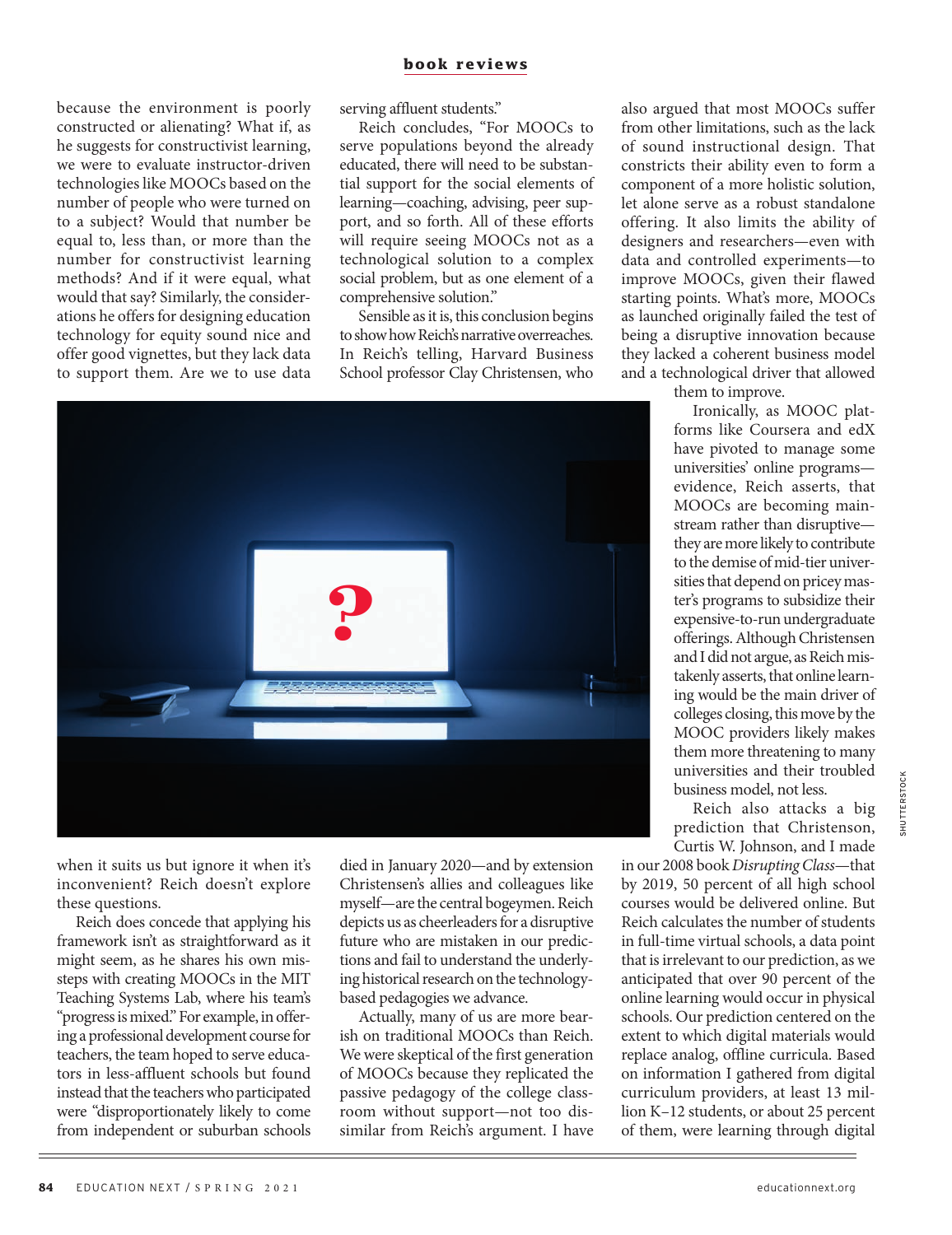because the environment is poorly constructed or alienating? What if, as he suggests for constructivist learning, we were to evaluate instructor-driven technologies like MOOCs based on the number of people who were turned on to a subject? Would that number be equal to, less than, or more than the number for constructivist learning methods? And if it were equal, what would that say? Similarly, the considerations he offers for designing education technology for equity sound nice and offer good vignettes, but they lack data to support them. Are we to use data serving affluent students."

Reich concludes, "For MOOCs to serve populations beyond the already educated, there will need to be substantial support for the social elements of learning—coaching, advising, peer support, and so forth. All of these efforts will require seeing MOOCs not as a technological solution to a complex social problem, but as one element of a comprehensive solution."

Sensible as it is, this conclusion begins to show how Reich's narrative overreaches. In Reich's telling, Harvard Business School professor Clay Christensen, who



when it suits us but ignore it when it's inconvenient? Reich doesn't explore these questions.

Reich does concede that applying his framework isn't as straightforward as it might seem, as he shares his own missteps with creating MOOCs in the MIT Teaching Systems Lab, where his team's "progress is mixed." For example, in offering a professional development course for teachers, the team hoped to serve educators in less-affluent schools but found instead that the teachers who participated were "disproportionately likely to come from independent or suburban schools died in January 2020—and by extension Christensen's allies and colleagues like myself—are the central bogeymen. Reich depicts us as cheerleaders for a disruptive future who are mistaken in our predictions and fail to understand the underlying historical research on the technologybased pedagogies we advance.

Actually, many of us are more bearish on traditional MOOCs than Reich. We were skeptical of the first generation of MOOCs because they replicated the passive pedagogy of the college classroom without support—not too dissimilar from Reich's argument. I have also argued that most MOOCs suffer from other limitations, such as the lack of sound instructional design. That constricts their ability even to form a component of a more holistic solution, let alone serve as a robust standalone offering. It also limits the ability of designers and researchers—even with data and controlled experiments—to improve MOOCs, given their flawed starting points. What's more, MOOCs as launched originally failed the test of being a disruptive innovation because they lacked a coherent business model and a technological driver that allowed

them to improve.

Ironically, as MOOC platforms like Coursera and edX have pivoted to manage some universities' online programs evidence, Reich asserts, that MOOCs are becoming mainstream rather than disruptive they are more likely to contribute to the demise of mid-tier universities that depend on pricey master's programs to subsidize their expensive-to-run undergraduate offerings. Although Christensen and I did not argue, as Reich mistakenly asserts, that online learning would be the main driver of colleges closing, this move by the MOOC providers likely makes them more threatening to many universities and their troubled business model, not less.

Reich also attacks a big prediction that Christenson, Curtis W. Johnson, and I made

in our 2008 book *Disrupting Class*—that by 2019, 50 percent of all high school courses would be delivered online. But Reich calculates the number of students in full-time virtual schools, a data point that is irrelevant to our prediction, as we anticipated that over 90 percent of the online learning would occur in physical schools. Our prediction centered on the extent to which digital materials would replace analog, offline curricula. Based on information I gathered from digital curriculum providers, at least 13 million K–12 students, or about 25 percent of them, were learning through digital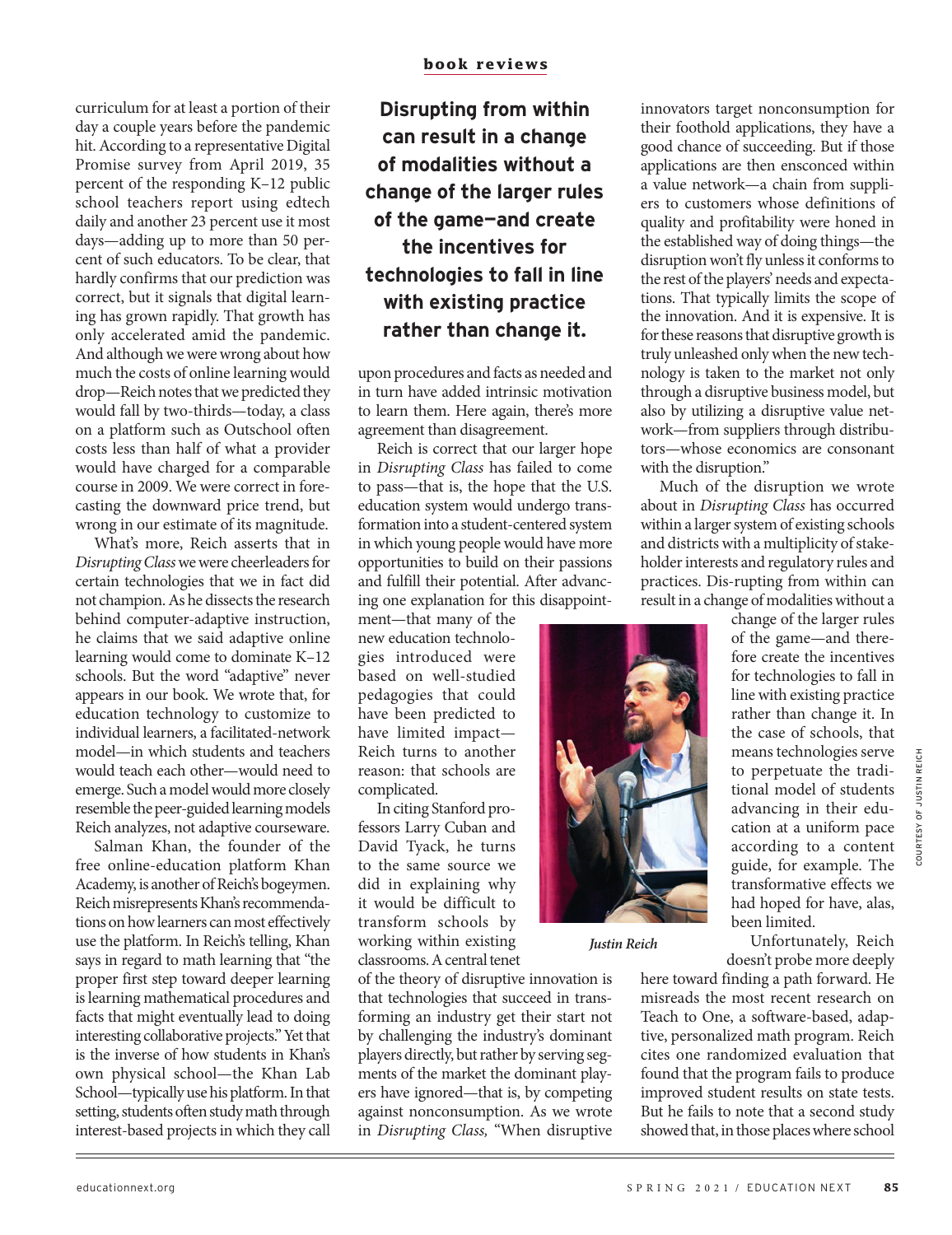curriculum for at least a portion of their day a couple years before the pandemic hit. According to a representative Digital Promise survey from April 2019, 35 percent of the responding K–12 public school teachers report using edtech daily and another 23 percent use it most days—adding up to more than 50 percent of such educators. To be clear, that hardly confirms that our prediction was correct, but it signals that digital learning has grown rapidly. That growth has only accelerated amid the pandemic. And although we were wrong about how much the costs of online learning would drop—Reich notes that we predicted they would fall by two-thirds—today, a class on a platform such as Outschool often costs less than half of what a provider would have charged for a comparable course in 2009. We were correct in forecasting the downward price trend, but wrong in our estimate of its magnitude.

What's more, Reich asserts that in *Disrupting Class* we were cheerleaders for certain technologies that we in fact did not champion. As he dissects the research behind computer-adaptive instruction, he claims that we said adaptive online learning would come to dominate K–12 schools. But the word "adaptive" never appears in our book. We wrote that, for education technology to customize to individual learners, a facilitated-network model—in which students and teachers would teach each other—would need to emerge. Such a model would more closely resemble the peer-guided learning models Reich analyzes, not adaptive courseware.

Salman Khan, the founder of the free online-education platform Khan Academy, is another of Reich's bogeymen. Reich misrepresents Khan's recommendations on how learners can most effectively use the platform. In Reich's telling, Khan says in regard to math learning that "the proper first step toward deeper learning is learning mathematical procedures and facts that might eventually lead to doing interesting collaborative projects." Yet that is the inverse of how students in Khan's own physical school—the Khan Lab School—typically use his platform. In that setting, students often study math through interest-based projects in which they call

**Disrupting from within can result in a change of modalities without a change of the larger rules of the game—and create the incentives for technologies to fall in line with existing practice rather than change it.** 

upon procedures and facts as needed and in turn have added intrinsic motivation to learn them. Here again, there's more agreement than disagreement.

Reich is correct that our larger hope in *Disrupting Class* has failed to come to pass—that is, the hope that the U.S. education system would undergo transformation into a student-centered system in which young people would have more opportunities to build on their passions and fulfill their potential. After advancing one explanation for this disappoint-

ment—that many of the new education technologies introduced were based on well-studied pedagogies that could have been predicted to have limited impact— Reich turns to another reason: that schools are complicated.

In citing Stanford professors Larry Cuban and David Tyack, he turns to the same source we did in explaining why it would be difficult to transform schools by working within existing classrooms. A central tenet

of the theory of disruptive innovation is that technologies that succeed in transforming an industry get their start not by challenging the industry's dominant players directly, but rather by serving segments of the market the dominant players have ignored—that is, by competing against nonconsumption. As we wrote in *Disrupting Class,* "When disruptive

*Justin Reich*

innovators target nonconsumption for their foothold applications, they have a good chance of succeeding. But if those applications are then ensconced within a value network—a chain from suppliers to customers whose definitions of quality and profitability were honed in the established way of doing things—the disruption won't fly unless it conforms to the rest of the players' needs and expectations. That typically limits the scope of the innovation. And it is expensive. It is for these reasons that disruptive growth is truly unleashed only when the new technology is taken to the market not only through a disruptive business model, but also by utilizing a disruptive value network—from suppliers through distributors—whose economics are consonant with the disruption."

Much of the disruption we wrote about in *Disrupting Class* has occurred within a larger system of existing schools and districts with a multiplicity of stakeholder interests and regulatory rules and practices. Dis-rupting from within can result in a change of modalities without a

change of the larger rules of the game—and therefore create the incentives for technologies to fall in line with existing practice rather than change it. In the case of schools, that means technologies serve to perpetuate the traditional model of students advancing in their education at a uniform pace according to a content guide, for example. The transformative effects we had hoped for have, alas, been limited.

Unfortunately, Reich doesn't probe more deeply

here toward finding a path forward. He misreads the most recent research on Teach to One, a software-based, adaptive, personalized math program. Reich cites one randomized evaluation that found that the program fails to produce improved student results on state tests. But he fails to note that a second study showed that, in those places where school

OF JUSTIN REICH COURTESY OF JUSTIN REICH

COURTESY